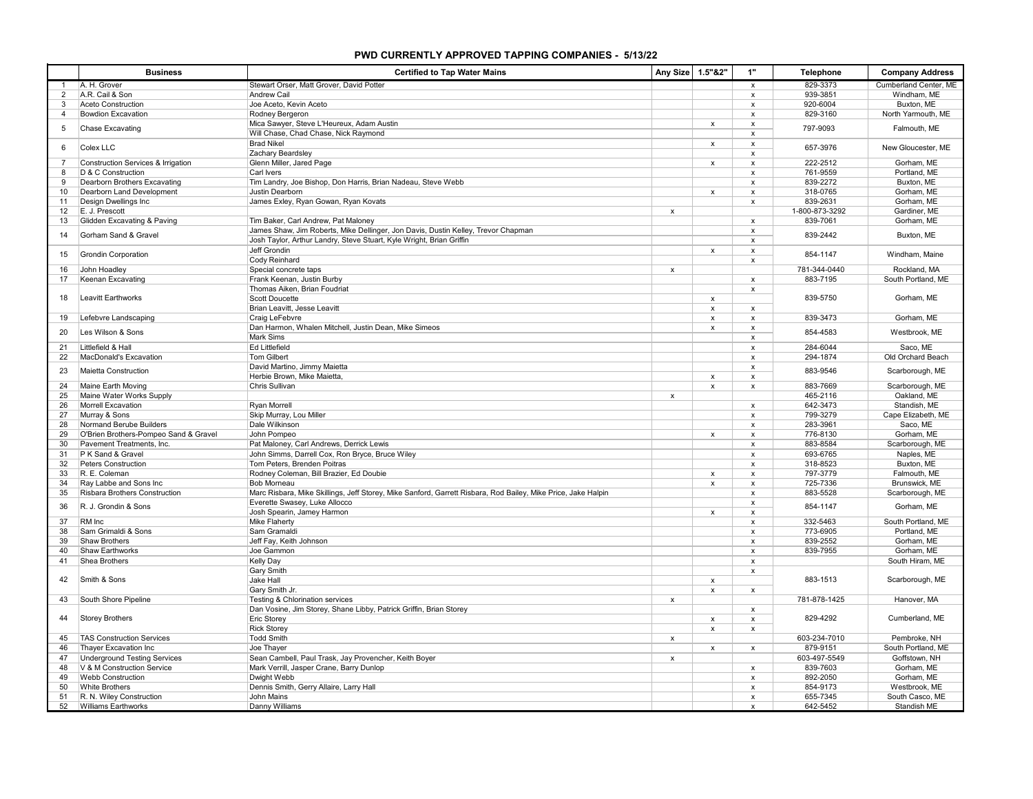## **PWD CURRENTLY APPROVED TAPPING COMPANIES - 5/13/22**

|                | <b>Business</b>                                | <b>Certified to Tap Water Mains</b>                                                                           | Any Size                  | 1.5"&2"                   | 1"                        | <b>Telephone</b>           | <b>Company Address</b>      |
|----------------|------------------------------------------------|---------------------------------------------------------------------------------------------------------------|---------------------------|---------------------------|---------------------------|----------------------------|-----------------------------|
| $\mathbf{1}$   | A. H. Grover                                   | Stewart Orser, Matt Grover, David Potter                                                                      |                           |                           | $\pmb{\mathsf{x}}$        | 829-3373                   | Cumberland Center, ME       |
| $\overline{2}$ | A.R. Cail & Son                                | Andrew Cail                                                                                                   |                           |                           | $\pmb{\mathsf{x}}$        | 939-3851                   | Windham, ME                 |
| 3              | Aceto Construction                             | Joe Aceto, Kevin Aceto                                                                                        |                           |                           | x                         | 920-6004                   | Buxton, ME                  |
| 4              | <b>Bowdion Excavation</b>                      | Rodney Bergeron                                                                                               |                           |                           | $\pmb{\mathsf{x}}$        | 829-3160                   | North Yarmouth, ME          |
| 5              | Chase Excavating                               | Mica Sawyer, Steve L'Heureux, Adam Austin<br>Will Chase, Chad Chase, Nick Raymond                             |                           | x                         | x<br>x                    | 797-9093                   | Falmouth, ME                |
| 6              | Colex LLC                                      | <b>Brad Nikel</b>                                                                                             |                           | x                         | $\pmb{\mathsf{x}}$        | 657-3976                   | New Gloucester, ME          |
|                |                                                | Zachary Beardsley                                                                                             |                           |                           | $\pmb{\mathsf{x}}$        |                            |                             |
| $\overline{7}$ | Construction Services & Irrigation             | Glenn Miller, Jared Page                                                                                      |                           | x                         | $\pmb{\mathsf{x}}$        | 222-2512                   | Gorham, ME                  |
| 8              | D & C Construction                             | Carl Ivers                                                                                                    |                           |                           | $\boldsymbol{\mathsf{x}}$ | 761-9559                   | Portland, ME                |
| 9              | Dearborn Brothers Excavating                   | Tim Landry, Joe Bishop, Don Harris, Brian Nadeau, Steve Webb                                                  |                           |                           | x                         | 839-2272                   | Buxton, ME                  |
| 10             | Dearborn Land Development                      | Justin Dearborn                                                                                               |                           | x                         | x                         | 318-0765                   | Gorham, ME                  |
| 11<br>12       | Design Dwellings Inc<br>E. J. Prescott         | James Exley, Ryan Gowan, Ryan Kovats                                                                          | $\pmb{\mathsf{x}}$        |                           | x                         | 839-2631<br>1-800-873-3292 | Gorham, ME<br>Gardiner, ME  |
| 13             | Glidden Excavating & Paving                    | Tim Baker, Carl Andrew, Pat Maloney                                                                           |                           |                           | $\mathsf{x}$              | 839-7061                   | Gorham, ME                  |
|                |                                                | James Shaw, Jim Roberts, Mike Dellinger, Jon Davis, Dustin Kelley, Trevor Chapman                             |                           |                           | $\boldsymbol{\mathsf{x}}$ |                            |                             |
| 14             | Gorham Sand & Gravel                           | Josh Taylor, Arthur Landry, Steve Stuart, Kyle Wright, Brian Griffin                                          |                           |                           | $\boldsymbol{\mathsf{x}}$ | 839-2442                   | Buxton, ME                  |
|                |                                                | Jeff Grondin                                                                                                  |                           | x                         | x                         |                            |                             |
| 15             | Grondin Corporation                            | Cody Reinhard                                                                                                 |                           |                           | x                         | 854-1147                   | Windham, Maine              |
| 16             | John Hoadley                                   | Special concrete taps                                                                                         | $\mathsf{x}$              |                           |                           | 781-344-0440               | Rockland, MA                |
| 17             | Keenan Excavating                              | Frank Keenan, Justin Burby                                                                                    |                           |                           | x                         | 883-7195                   | South Portland, ME          |
|                |                                                | Thomas Aiken, Brian Foudriat                                                                                  |                           |                           | $\pmb{\mathsf{x}}$        |                            |                             |
| 18             | <b>Leavitt Earthworks</b>                      | Scott Doucette                                                                                                |                           | x                         |                           | 839-5750                   | Gorham, ME                  |
|                |                                                | Brian Leavitt, Jesse Leavitt                                                                                  |                           | $\mathsf{x}$              | $\pmb{\mathsf{x}}$        |                            |                             |
| 19             | Lefebvre Landscaping                           | Craig LeFebvre                                                                                                |                           | $\boldsymbol{\mathsf{x}}$ | $\pmb{\mathsf{x}}$        | 839-3473                   | Gorham, ME                  |
| 20             | Les Wilson & Sons                              | Dan Harmon, Whalen Mitchell, Justin Dean, Mike Simeos                                                         |                           | x                         | x                         | 854-4583                   | Westbrook, ME               |
|                |                                                | Mark Sims                                                                                                     |                           |                           | x                         |                            |                             |
| 21             | Littlefield & Hall                             | <b>Ed Littlefield</b>                                                                                         |                           |                           | $\pmb{\mathsf{x}}$        | 284-6044                   | Saco, ME                    |
| 22             | MacDonald's Excavation                         | <b>Tom Gilbert</b>                                                                                            |                           |                           | x                         | 294-1874                   | Old Orchard Beach           |
| 23             | Maietta Construction                           | David Martino, Jimmy Maietta                                                                                  |                           |                           | $\pmb{\mathsf{x}}$        | 883-9546                   | Scarborough, ME             |
|                |                                                | Herbie Brown, Mike Maietta,                                                                                   |                           | $\mathbf{x}$              | $\mathsf{x}$              |                            |                             |
| 24             | Maine Earth Moving                             | Chris Sullivan                                                                                                |                           | $\mathsf{x}$              | $\pmb{\mathsf{x}}$        | 883-7669                   | Scarborough, ME             |
| 25<br>26       | Maine Water Works Supply<br>Morrell Excavation | <b>Rvan Morrell</b>                                                                                           | x                         |                           |                           | 465-2116<br>642-3473       | Oakland, ME<br>Standish, ME |
| 27             | Murray & Sons                                  | Skip Murray, Lou Miller                                                                                       |                           |                           | x<br>x                    | 799-3279                   | Cape Elizabeth, ME          |
| 28             | Normand Berube Builders                        | Dale Wilkinson                                                                                                |                           |                           | $\pmb{\mathsf{x}}$        | 283-3961                   | Saco, ME                    |
| 29             | O'Brien Brothers-Pompeo Sand & Gravel          | John Pompeo                                                                                                   |                           | x                         | x                         | 776-8130                   | Gorham, ME                  |
| 30             | Pavement Treatments, Inc.                      | Pat Maloney, Carl Andrews, Derrick Lewis                                                                      |                           |                           | $\pmb{\mathsf{x}}$        | 883-8584                   | Scarborough, ME             |
| 31             | P K Sand & Gravel                              | John Simms, Darrell Cox, Ron Bryce, Bruce Wiley                                                               |                           |                           | $\mathsf{x}$              | 693-6765                   | Naples, ME                  |
| 32             | Peters Construction                            | Tom Peters, Brenden Poitras                                                                                   |                           |                           | $\mathsf{x}$              | 318-8523                   | Buxton, ME                  |
| 33             | R. E. Coleman                                  | Rodney Coleman, Bill Brazier, Ed Doubie                                                                       |                           | x                         | $\pmb{\mathsf{x}}$        | 797-3779                   | Falmouth, ME                |
| 34             | Ray Labbe and Sons Inc                         | <b>Bob Morneau</b>                                                                                            |                           | x                         | $\boldsymbol{\mathsf{x}}$ | 725-7336                   | Brunswick, ME               |
| 35             | Risbara Brothers Construction                  | Marc Risbara, Mike Skillings, Jeff Storey, Mike Sanford, Garrett Risbara, Rod Bailey, Mike Price, Jake Halpin |                           |                           | x                         | 883-5528                   | Scarborough, ME             |
| 36             | R. J. Grondin & Sons                           | Everette Swasey, Luke Allocco                                                                                 |                           |                           | $\pmb{\mathsf{x}}$        | 854-1147                   | Gorham, ME                  |
|                |                                                | Josh Spearin, Jamey Harmon                                                                                    |                           | x                         | x                         |                            |                             |
| 37             | RM Inc                                         | Mike Flaherty                                                                                                 |                           |                           | $\pmb{\mathsf{x}}$        | 332-5463                   | South Portland, ME          |
| 38             | Sam Grimaldi & Sons                            | Sam Gramaldi                                                                                                  |                           |                           | x                         | 773-6905                   | Portland, ME                |
| 39             | Shaw Brothers                                  | Jeff Fay, Keith Johnson                                                                                       |                           |                           | $\mathsf{x}$              | 839-2552                   | Gorham, ME                  |
| 40             | <b>Shaw Earthworks</b>                         | Joe Gammon                                                                                                    |                           |                           | $\boldsymbol{\mathsf{x}}$ | 839-7955                   | Gorham, ME                  |
| 41             | Shea Brothers                                  | <b>Kelly Day</b>                                                                                              |                           |                           | $\boldsymbol{\mathsf{x}}$ |                            | South Hiram, ME             |
| 42             | Smith & Sons                                   | Gary Smith                                                                                                    |                           |                           | x                         | 883-1513                   |                             |
|                |                                                | Jake Hall                                                                                                     |                           | $\pmb{\mathsf{x}}$        |                           |                            | Scarborough, ME             |
| 43             | South Shore Pipeline                           | Gary Smith Jr.<br>Testing & Chlorination services                                                             |                           | $\mathsf x$               | $\pmb{\mathsf{x}}$        | 781-878-1425               | Hanover, MA                 |
|                |                                                | Dan Vosine, Jim Storey, Shane Libby, Patrick Griffin, Brian Storey                                            | $\pmb{\mathsf{x}}$        |                           |                           |                            |                             |
| 44             | <b>Storey Brothers</b>                         | Eric Storey                                                                                                   |                           | $\mathsf{x}$              | x<br>$\mathsf{x}$         | 829-4292                   | Cumberland, ME              |
|                |                                                | <b>Rick Storey</b>                                                                                            |                           | x                         | $\pmb{\mathsf{x}}$        |                            |                             |
| 45             | <b>TAS Construction Services</b>               | <b>Todd Smith</b>                                                                                             | x                         |                           |                           | 603-234-7010               | Pembroke, NH                |
| 46             | Thayer Excavation Inc                          | Joe Thayer                                                                                                    |                           | x                         | x                         | 879-9151                   | South Portland, ME          |
| 47             | <b>Underground Testing Services</b>            | Sean Cambell, Paul Trask, Jay Provencher, Keith Boyer                                                         | $\boldsymbol{\mathsf{x}}$ |                           |                           | 603-497-5549               | Goffstown, NH               |
| 48             | V & M Construction Service                     | Mark Verrill, Jasper Crane, Barry Dunlop                                                                      |                           |                           | $\pmb{\mathsf{x}}$        | 839-7603                   | Gorham, ME                  |
| 49             | <b>Webb Construction</b>                       | Dwight Webb                                                                                                   |                           |                           | $\pmb{\mathsf{x}}$        | 892-2050                   | Gorham, ME                  |
| 50             | <b>White Brothers</b>                          | Dennis Smith, Gerry Allaire, Larry Hall                                                                       |                           |                           | x                         | 854-9173                   | Westbrook, ME               |
| 51             | R. N. Wiley Construction                       | John Mains                                                                                                    |                           |                           | $\mathsf{x}$              | 655-7345                   | South Casco, ME             |
| 52             | Williams Earthworks                            | Danny Williams                                                                                                |                           |                           |                           | 642-5452                   | Standish ME                 |